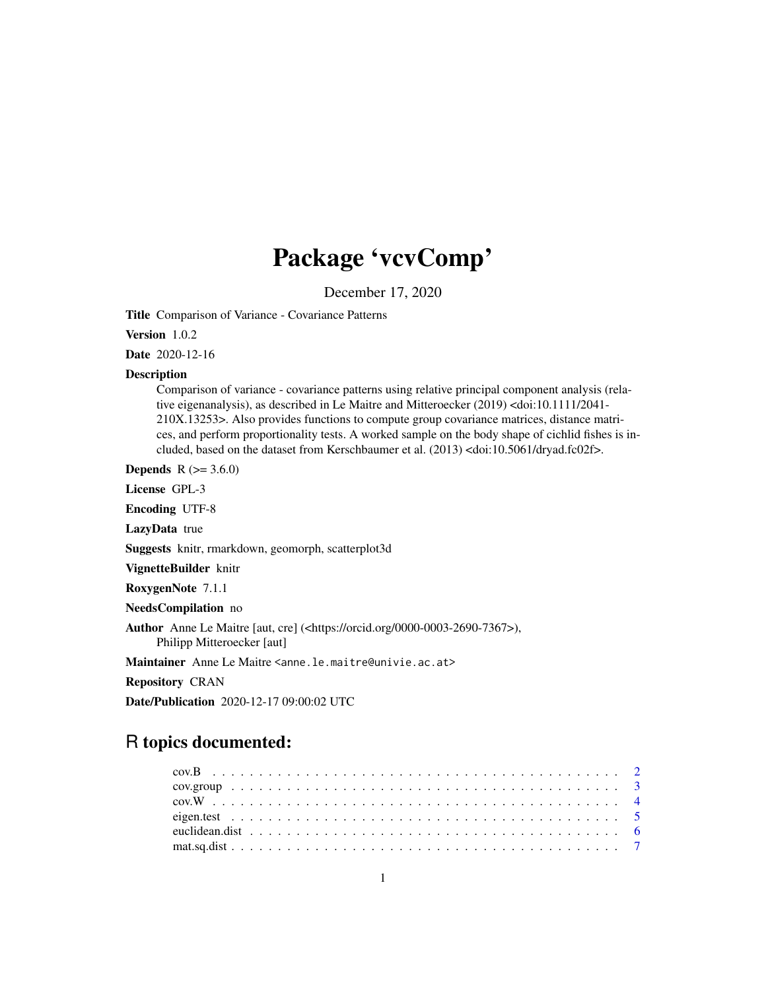# Package 'vcvComp'

December 17, 2020

<span id="page-0-0"></span>Title Comparison of Variance - Covariance Patterns

Version 1.0.2

Date 2020-12-16

#### Description

Comparison of variance - covariance patterns using relative principal component analysis (relative eigenanalysis), as described in Le Maitre and Mitteroecker (2019) <doi:10.1111/2041- 210X.13253>. Also provides functions to compute group covariance matrices, distance matrices, and perform proportionality tests. A worked sample on the body shape of cichlid fishes is included, based on the dataset from Kerschbaumer et al. (2013) <doi:10.5061/dryad.fc02f>.

**Depends** R  $(>= 3.6.0)$ 

License GPL-3

Encoding UTF-8

LazyData true

Suggests knitr, rmarkdown, geomorph, scatterplot3d

VignetteBuilder knitr

RoxygenNote 7.1.1

NeedsCompilation no

Author Anne Le Maitre [aut, cre] (<https://orcid.org/0000-0003-2690-7367>), Philipp Mitteroecker [aut]

Maintainer Anne Le Maitre <anne.le.maitre@univie.ac.at>

Repository CRAN

Date/Publication 2020-12-17 09:00:02 UTC

# R topics documented: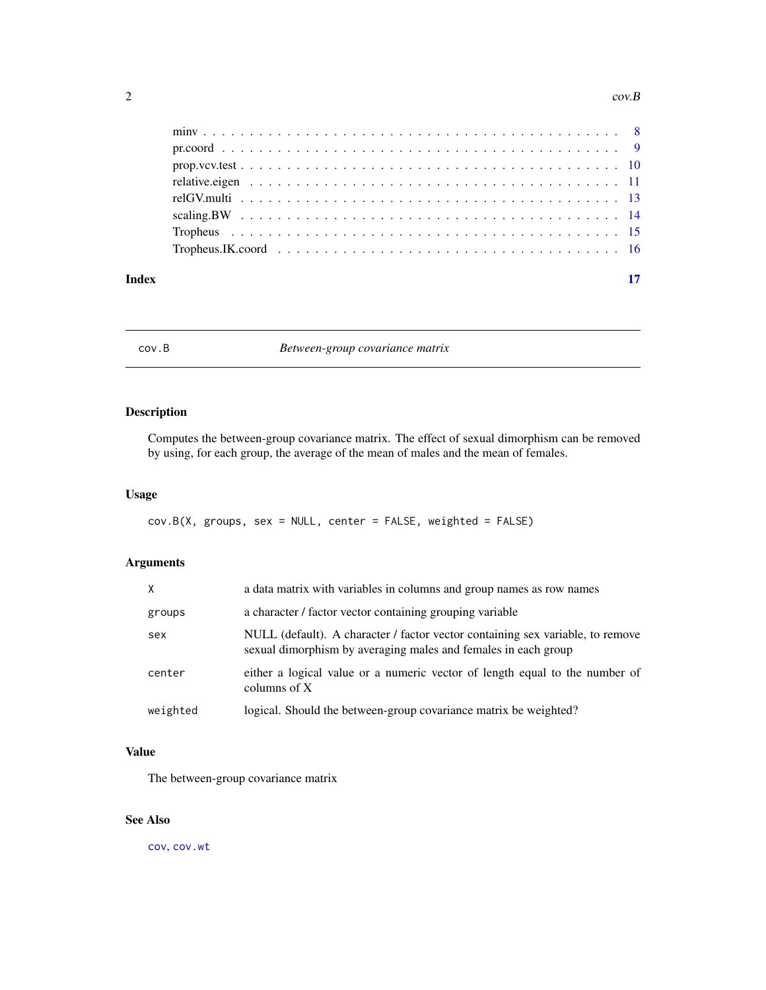#### <span id="page-1-0"></span>2 cov.B

| Index | 17 |  |
|-------|----|--|

cov.B *Between-group covariance matrix*

# Description

Computes the between-group covariance matrix. The effect of sexual dimorphism can be removed by using, for each group, the average of the mean of males and the mean of females.

# Usage

```
cov.B(X, groups, sex = NULL, center = FALSE, weighted = FALSE)
```
# Arguments

| X        | a data matrix with variables in columns and group names as row names                                                                             |
|----------|--------------------------------------------------------------------------------------------------------------------------------------------------|
| groups   | a character / factor vector containing grouping variable                                                                                         |
| sex      | NULL (default). A character / factor vector containing sex variable, to remove<br>sexual dimorphism by averaging males and females in each group |
| center   | either a logical value or a numeric vector of length equal to the number of<br>columns of $X$                                                    |
| weighted | logical. Should the between-group covariance matrix be weighted?                                                                                 |

# Value

The between-group covariance matrix

# See Also

[cov](#page-0-0), [cov.wt](#page-0-0)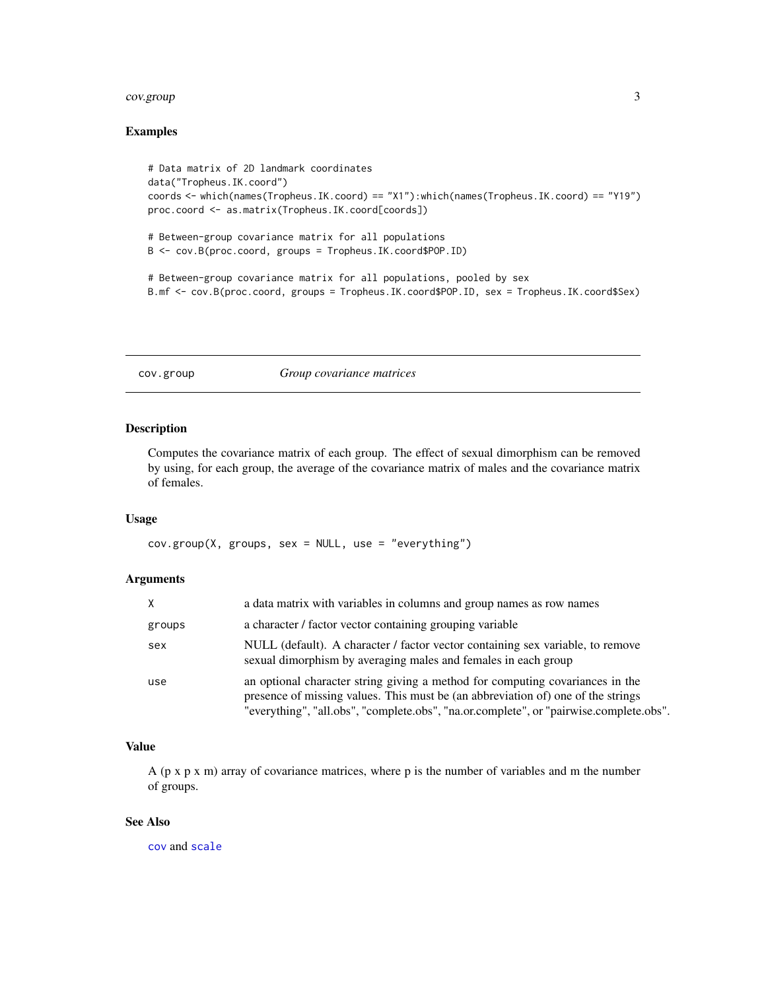#### <span id="page-2-0"></span>cov.group 3

# Examples

```
# Data matrix of 2D landmark coordinates
data("Tropheus.IK.coord")
coords <- which(names(Tropheus.IK.coord) == "X1"):which(names(Tropheus.IK.coord) == "Y19")
proc.coord <- as.matrix(Tropheus.IK.coord[coords])
# Between-group covariance matrix for all populations
B <- cov.B(proc.coord, groups = Tropheus.IK.coord$POP.ID)
# Between-group covariance matrix for all populations, pooled by sex
B.mf <- cov.B(proc.coord, groups = Tropheus.IK.coord$POP.ID, sex = Tropheus.IK.coord$Sex)
```
# cov.group *Group covariance matrices*

### Description

Computes the covariance matrix of each group. The effect of sexual dimorphism can be removed by using, for each group, the average of the covariance matrix of males and the covariance matrix of females.

#### Usage

cov.group(X, groups, sex = NULL, use = "everything")

# Arguments

| X      | a data matrix with variables in columns and group names as row names                                                                                                                                                                                        |
|--------|-------------------------------------------------------------------------------------------------------------------------------------------------------------------------------------------------------------------------------------------------------------|
| groups | a character / factor vector containing grouping variable                                                                                                                                                                                                    |
| sex    | NULL (default). A character / factor vector containing sex variable, to remove<br>sexual dimorphism by averaging males and females in each group                                                                                                            |
| use    | an optional character string giving a method for computing covariances in the<br>presence of missing values. This must be (an abbreviation of) one of the strings<br>"everything", "all.obs", "complete.obs", "na.or.complete", or "pairwise.complete.obs". |

# Value

A ( $p \times p \times m$ ) array of covariance matrices, where p is the number of variables and m the number of groups.

#### See Also

[cov](#page-0-0) and [scale](#page-0-0)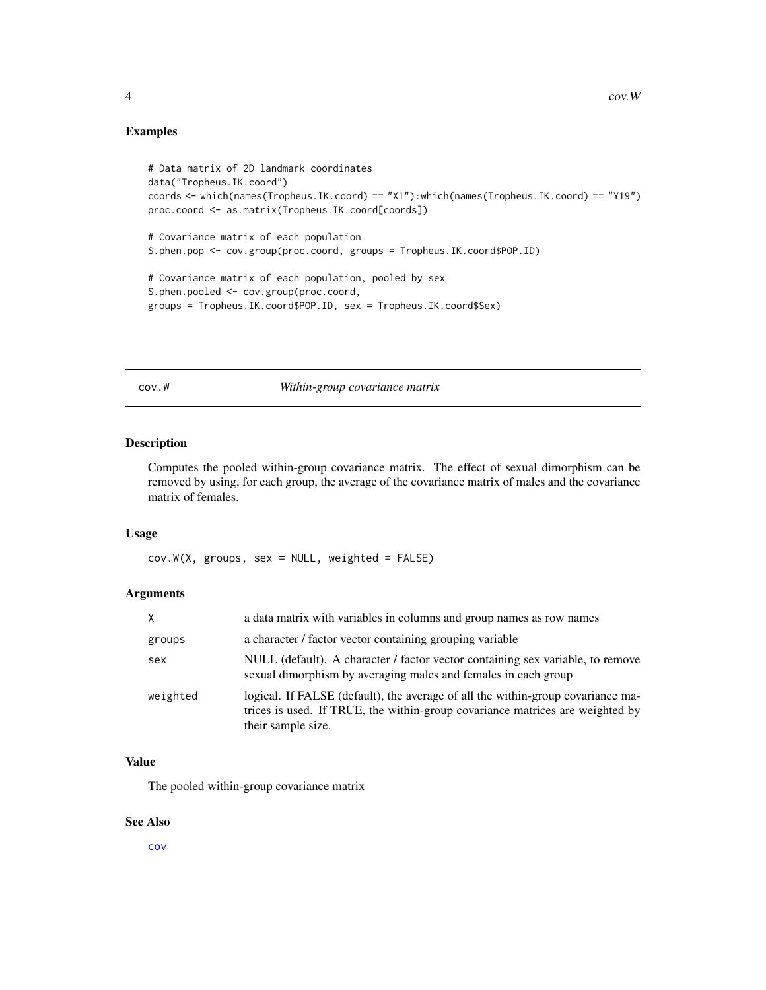# <span id="page-3-0"></span>Examples

```
# Data matrix of 2D landmark coordinates
data("Tropheus.IK.coord")
coords <- which(names(Tropheus.IK.coord) == "X1"):which(names(Tropheus.IK.coord) == "Y19")
proc.coord <- as.matrix(Tropheus.IK.coord[coords])
# Covariance matrix of each population
S.phen.pop <- cov.group(proc.coord, groups = Tropheus.IK.coord$POP.ID)
# Covariance matrix of each population, pooled by sex
S.phen.pooled <- cov.group(proc.coord,
groups = Tropheus.IK.coord$POP.ID, sex = Tropheus.IK.coord$Sex)
```
cov.W *Within-group covariance matrix*

# Description

Computes the pooled within-group covariance matrix. The effect of sexual dimorphism can be removed by using, for each group, the average of the covariance matrix of males and the covariance matrix of females.

#### Usage

 $cov.W(X, groups, sex = NULL, weighted = FALSE)$ 

#### Arguments

| X.       | a data matrix with variables in columns and group names as row names                                                                                                                   |
|----------|----------------------------------------------------------------------------------------------------------------------------------------------------------------------------------------|
| groups   | a character / factor vector containing grouping variable                                                                                                                               |
| sex      | NULL (default). A character / factor vector containing sex variable, to remove<br>sexual dimorphism by averaging males and females in each group                                       |
| weighted | logical. If FALSE (default), the average of all the within-group covariance ma-<br>trices is used. If TRUE, the within-group covariance matrices are weighted by<br>their sample size. |

# Value

The pooled within-group covariance matrix

#### See Also

[cov](#page-0-0)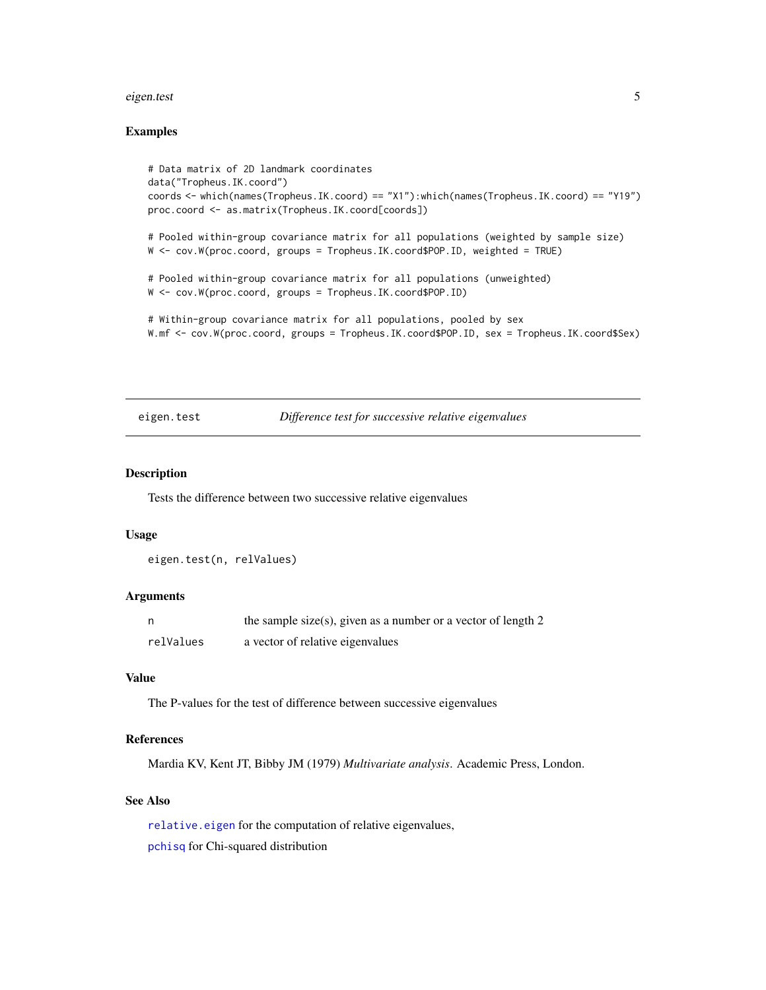#### <span id="page-4-0"></span>eigen.test 5

#### Examples

```
# Data matrix of 2D landmark coordinates
data("Tropheus.IK.coord")
coords <- which(names(Tropheus.IK.coord) == "X1"):which(names(Tropheus.IK.coord) == "Y19")
proc.coord <- as.matrix(Tropheus.IK.coord[coords])
# Pooled within-group covariance matrix for all populations (weighted by sample size)
W <- cov.W(proc.coord, groups = Tropheus.IK.coord$POP.ID, weighted = TRUE)
# Pooled within-group covariance matrix for all populations (unweighted)
W <- cov.W(proc.coord, groups = Tropheus.IK.coord$POP.ID)
# Within-group covariance matrix for all populations, pooled by sex
W.mf <- cov.W(proc.coord, groups = Tropheus.IK.coord$POP.ID, sex = Tropheus.IK.coord$Sex)
```
# eigen.test *Difference test for successive relative eigenvalues*

# Description

Tests the difference between two successive relative eigenvalues

#### Usage

```
eigen.test(n, relValues)
```
#### Arguments

|           | the sample size(s), given as a number or a vector of length 2 |
|-----------|---------------------------------------------------------------|
| relValues | a vector of relative eigenvalues                              |

#### Value

The P-values for the test of difference between successive eigenvalues

#### References

Mardia KV, Kent JT, Bibby JM (1979) *Multivariate analysis*. Academic Press, London.

# See Also

[relative.eigen](#page-10-1) for the computation of relative eigenvalues, [pchisq](#page-0-0) for Chi-squared distribution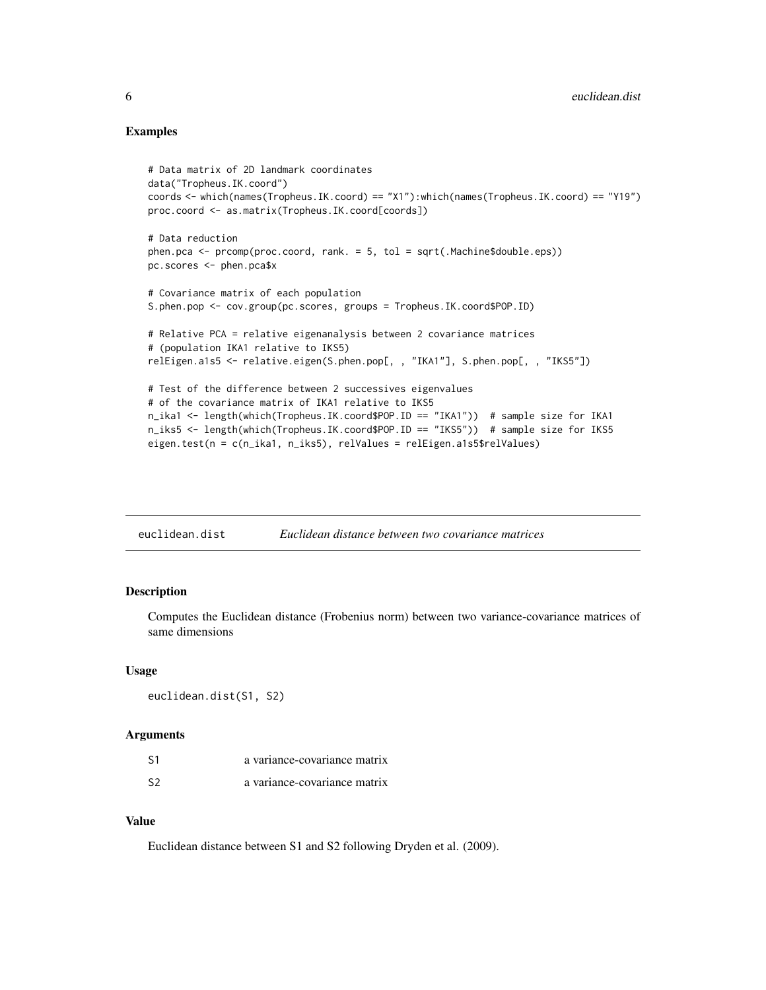### <span id="page-5-0"></span>Examples

```
# Data matrix of 2D landmark coordinates
data("Tropheus.IK.coord")
coords <- which(names(Tropheus.IK.coord) == "X1"):which(names(Tropheus.IK.coord) == "Y19")
proc.coord <- as.matrix(Tropheus.IK.coord[coords])
# Data reduction
phen.pca <- prcomp(proc.coord, rank. = 5, tol = sqrt(.Machine$double.eps))
pc.scores <- phen.pca$x
# Covariance matrix of each population
S.phen.pop <- cov.group(pc.scores, groups = Tropheus.IK.coord$POP.ID)
# Relative PCA = relative eigenanalysis between 2 covariance matrices
# (population IKA1 relative to IKS5)
relEigen.a1s5 <- relative.eigen(S.phen.pop[, , "IKA1"], S.phen.pop[, , "IKS5"])
# Test of the difference between 2 successives eigenvalues
# of the covariance matrix of IKA1 relative to IKS5
n_ika1 <- length(which(Tropheus.IK.coord$POP.ID == "IKA1")) # sample size for IKA1
n_iks5 <- length(which(Tropheus.IK.coord$POP.ID == "IKS5")) # sample size for IKS5
eigen.test(n = c(n_ika1, n_iks5), relValues = relEigen.a1s5$relValues)
```
euclidean.dist *Euclidean distance between two covariance matrices*

# Description

Computes the Euclidean distance (Frobenius norm) between two variance-covariance matrices of same dimensions

#### Usage

```
euclidean.dist(S1, S2)
```
#### Arguments

| S1 | a variance-covariance matrix |
|----|------------------------------|
| S2 | a variance-covariance matrix |

# Value

Euclidean distance between S1 and S2 following Dryden et al. (2009).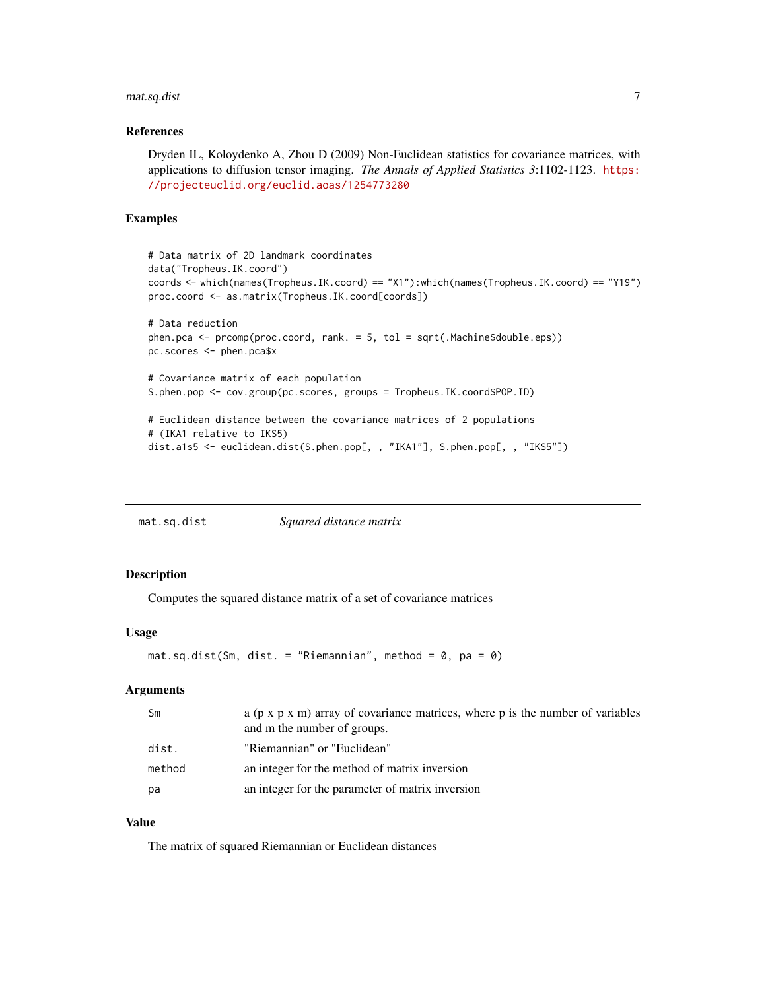# <span id="page-6-0"></span>mat.sq.dist 7

#### References

Dryden IL, Koloydenko A, Zhou D (2009) Non-Euclidean statistics for covariance matrices, with applications to diffusion tensor imaging. *The Annals of Applied Statistics 3*:1102-1123. [https:](https://projecteuclid.org/euclid.aoas/1254773280) [//projecteuclid.org/euclid.aoas/1254773280](https://projecteuclid.org/euclid.aoas/1254773280)

# Examples

```
# Data matrix of 2D landmark coordinates
data("Tropheus.IK.coord")
coords <- which(names(Tropheus.IK.coord) == "X1"):which(names(Tropheus.IK.coord) == "Y19")
proc.coord <- as.matrix(Tropheus.IK.coord[coords])
# Data reduction
phen.pca <- prcomp(proc.coord, rank. = 5, tol = sqrt(.Machine$double.eps))
pc.scores <- phen.pca$x
# Covariance matrix of each population
S.phen.pop <- cov.group(pc.scores, groups = Tropheus.IK.coord$POP.ID)
# Euclidean distance between the covariance matrices of 2 populations
# (IKA1 relative to IKS5)
dist.a1s5 <- euclidean.dist(S.phen.pop[, , "IKA1"], S.phen.pop[, , "IKS5"])
```
mat.sq.dist *Squared distance matrix*

# Description

Computes the squared distance matrix of a set of covariance matrices

#### Usage

```
mat.sq.dist(Sm, dist. = "Riemannian", method = 0, pa = 0)
```
#### Arguments

| Sm     | a ( $p \times p \times m$ ) array of covariance matrices, where p is the number of variables<br>and m the number of groups. |
|--------|-----------------------------------------------------------------------------------------------------------------------------|
| dist.  | "Riemannian" or "Euclidean"                                                                                                 |
| method | an integer for the method of matrix inversion                                                                               |
| pa     | an integer for the parameter of matrix inversion                                                                            |

# Value

The matrix of squared Riemannian or Euclidean distances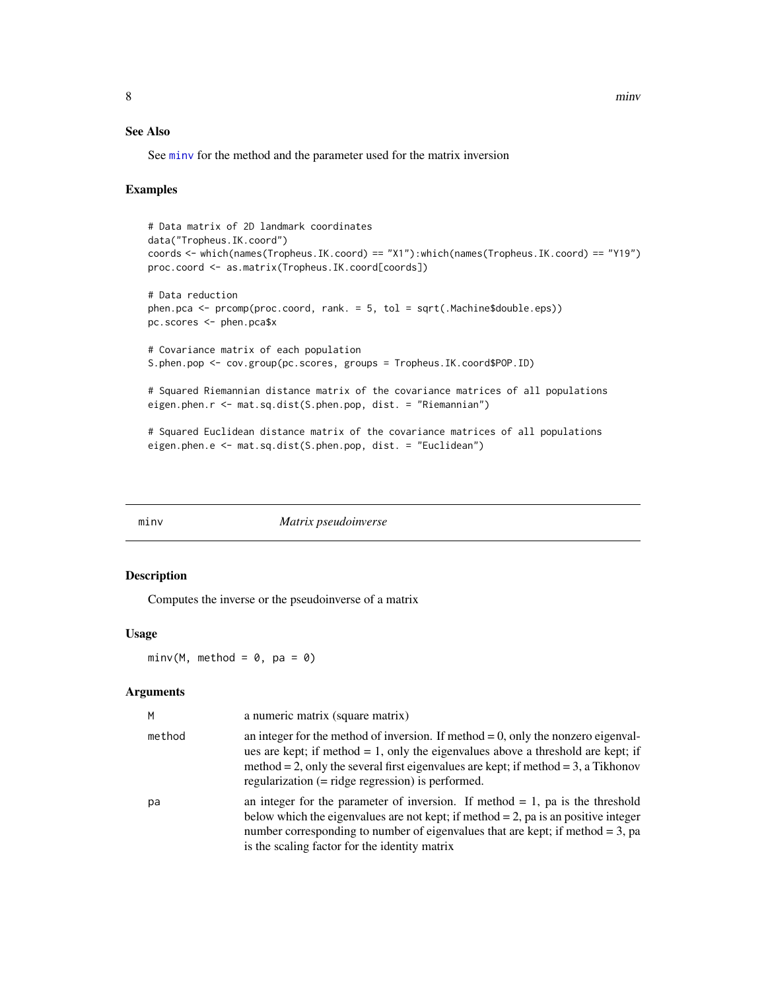# <span id="page-7-0"></span>See Also

See [minv](#page-7-1) for the method and the parameter used for the matrix inversion

#### Examples

```
# Data matrix of 2D landmark coordinates
data("Tropheus.IK.coord")
coords <- which(names(Tropheus.IK.coord) == "X1"):which(names(Tropheus.IK.coord) == "Y19")
proc.coord <- as.matrix(Tropheus.IK.coord[coords])
# Data reduction
phen.pca <- prcomp(proc.coord, rank. = 5, tol = sqrt(.Machine$double.eps))
pc.scores <- phen.pca$x
# Covariance matrix of each population
S.phen.pop <- cov.group(pc.scores, groups = Tropheus.IK.coord$POP.ID)
# Squared Riemannian distance matrix of the covariance matrices of all populations
eigen.phen.r <- mat.sq.dist(S.phen.pop, dist. = "Riemannian")
# Squared Euclidean distance matrix of the covariance matrices of all populations
eigen.phen.e <- mat.sq.dist(S.phen.pop, dist. = "Euclidean")
```
<span id="page-7-1"></span>minv *Matrix pseudoinverse*

#### Description

Computes the inverse or the pseudoinverse of a matrix

#### Usage

 $minv(M, method = 0, pa = 0)$ 

#### Arguments

| M      | a numeric matrix (square matrix)                                                                                                                                                                                                                                                                                      |
|--------|-----------------------------------------------------------------------------------------------------------------------------------------------------------------------------------------------------------------------------------------------------------------------------------------------------------------------|
| method | an integer for the method of inversion. If method $= 0$ , only the nonzero eigenval-<br>ues are kept; if method = 1, only the eigenvalues above a threshold are kept; if<br>method = 2, only the several first eigenvalues are kept; if method = 3, a Tikhonov<br>regularization $(=$ ridge regression) is performed. |
| pa     | an integer for the parameter of inversion. If method $= 1$ , pa is the threshold<br>below which the eigenvalues are not kept; if method $= 2$ , pa is an positive integer<br>number corresponding to number of eigenvalues that are kept; if method $= 3$ , pa<br>is the scaling factor for the identity matrix       |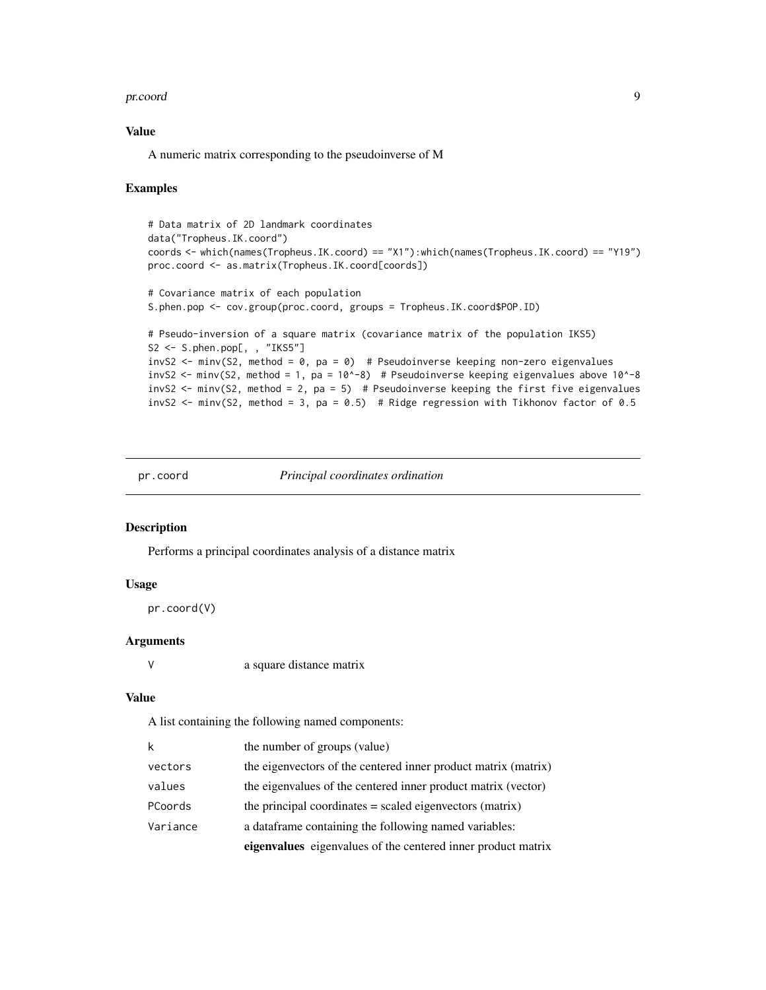#### <span id="page-8-0"></span>pr.coord 9

# Value

A numeric matrix corresponding to the pseudoinverse of M

#### Examples

```
# Data matrix of 2D landmark coordinates
data("Tropheus.IK.coord")
coords <- which(names(Tropheus.IK.coord) == "X1"):which(names(Tropheus.IK.coord) == "Y19")
proc.coord <- as.matrix(Tropheus.IK.coord[coords])
# Covariance matrix of each population
S.phen.pop <- cov.group(proc.coord, groups = Tropheus.IK.coord$POP.ID)
# Pseudo-inversion of a square matrix (covariance matrix of the population IKS5)
S2 <- S.phen.pop[, , "IKS5"]
invS2 \le minv(S2, method = 0, pa = 0) # Pseudoinverse keeping non-zero eigenvalues
invS2 <- minv(S2, method = 1, pa = 10^{\circ}-8) # Pseudoinverse keeping eigenvalues above 10^{\circ}-8invS2 \le minv(S2, method = 2, pa = 5) # Pseudoinverse keeping the first five eigenvalues
invS2 <- minv(S2, method = 3, pa = 0.5) # Ridge regression with Tikhonov factor of 0.5
```
pr.coord *Principal coordinates ordination*

# Description

Performs a principal coordinates analysis of a distance matrix

# Usage

```
pr.coord(V)
```
# Arguments

V a square distance matrix

# Value

A list containing the following named components:

| k        | the number of groups (value)                                   |
|----------|----------------------------------------------------------------|
| vectors  | the eigenvectors of the centered inner product matrix (matrix) |
| values   | the eigenvalues of the centered inner product matrix (vector)  |
| PCoords  | the principal coordinates $=$ scaled eigenvectors (matrix)     |
| Variance | a dataframe containing the following named variables:          |
|          | eigenvalues eigenvalues of the centered inner product matrix   |
|          |                                                                |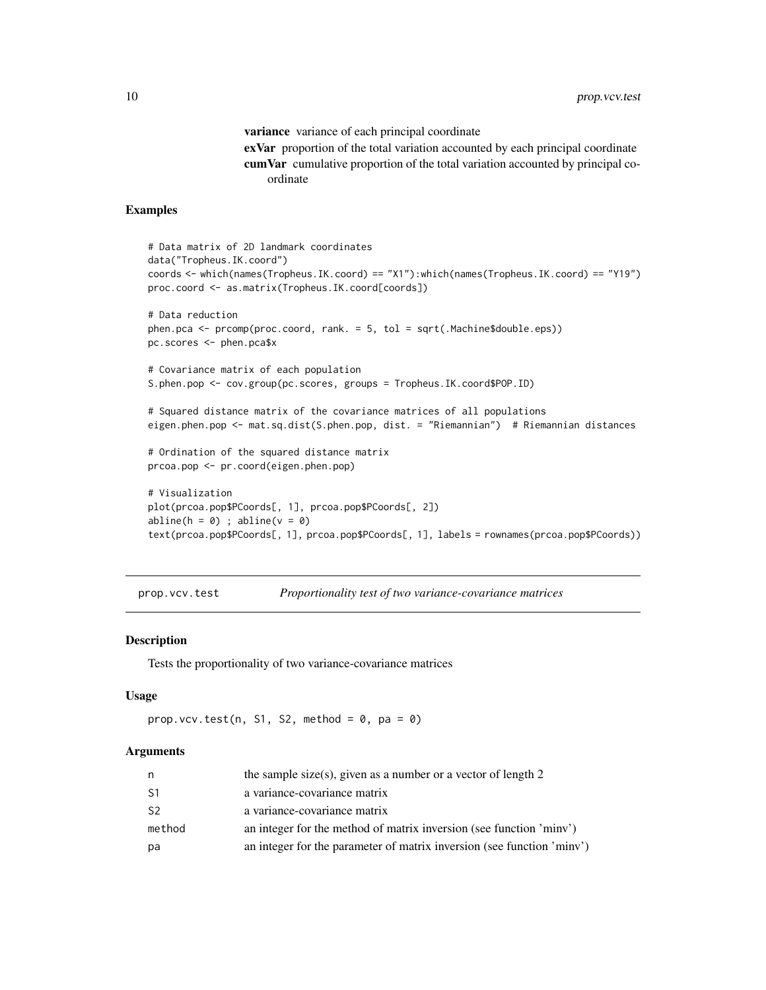variance variance of each principal coordinate exVar proportion of the total variation accounted by each principal coordinate cumVar cumulative proportion of the total variation accounted by principal coordinate

#### <span id="page-9-0"></span>Examples

```
# Data matrix of 2D landmark coordinates
data("Tropheus.IK.coord")
coords <- which(names(Tropheus.IK.coord) == "X1"):which(names(Tropheus.IK.coord) == "Y19")
proc.coord <- as.matrix(Tropheus.IK.coord[coords])
# Data reduction
phen.pca <- prcomp(proc.coord, rank. = 5, tol = sqrt(.Machine$double.eps))
pc.scores <- phen.pca$x
# Covariance matrix of each population
S.phen.pop <- cov.group(pc.scores, groups = Tropheus.IK.coord$POP.ID)
# Squared distance matrix of the covariance matrices of all populations
eigen.phen.pop <- mat.sq.dist(S.phen.pop, dist. = "Riemannian") # Riemannian distances
# Ordination of the squared distance matrix
prcoa.pop <- pr.coord(eigen.phen.pop)
# Visualization
plot(prcoa.pop$PCoords[, 1], prcoa.pop$PCoords[, 2])
abline(h = 0) ; abline(v = 0)
text(prcoa.pop$PCoords[, 1], prcoa.pop$PCoords[, 1], labels = rownames(prcoa.pop$PCoords))
```
prop.vcv.test *Proportionality test of two variance-covariance matrices*

# **Description**

Tests the proportionality of two variance-covariance matrices

# Usage

```
prop.vcv.test(n, S1, S2, method = 0, pa = 0)
```
#### Arguments

| n              | the sample size(s), given as a number or a vector of length $2$        |
|----------------|------------------------------------------------------------------------|
| S <sub>1</sub> | a variance-covariance matrix                                           |
| S <sub>2</sub> | a variance-covariance matrix                                           |
| method         | an integer for the method of matrix inversion (see function 'minv')    |
| рa             | an integer for the parameter of matrix inversion (see function 'minv') |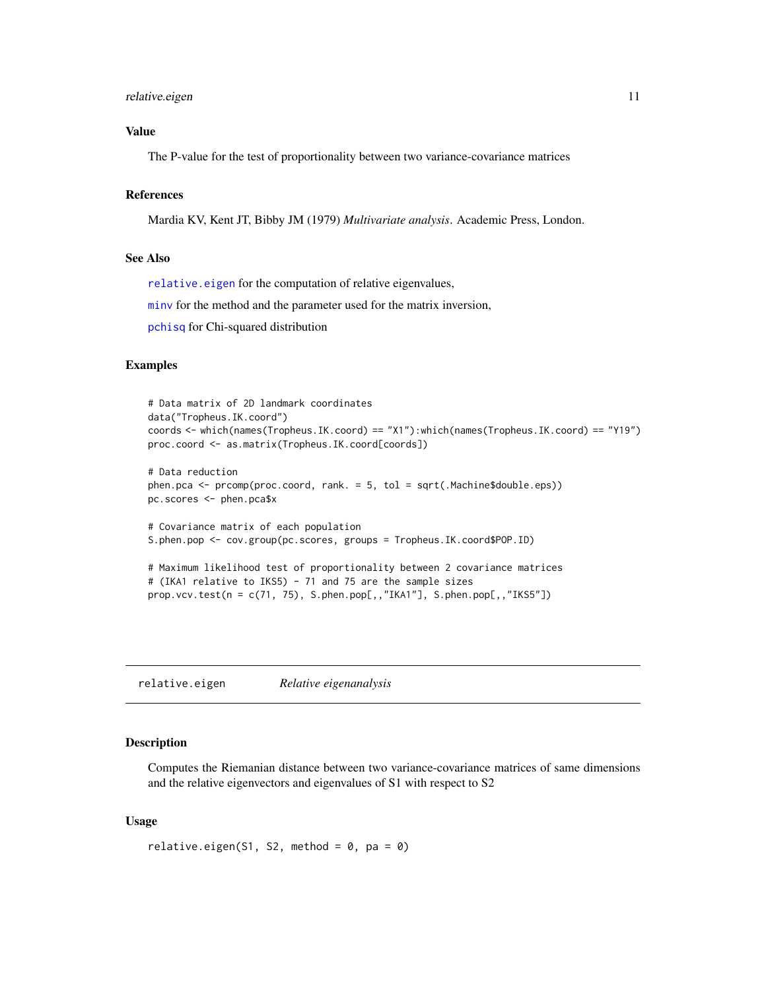#### <span id="page-10-0"></span>relative.eigen 11

# Value

The P-value for the test of proportionality between two variance-covariance matrices

#### References

Mardia KV, Kent JT, Bibby JM (1979) *Multivariate analysis*. Academic Press, London.

#### See Also

[relative.eigen](#page-10-1) for the computation of relative eigenvalues,

[minv](#page-7-1) for the method and the parameter used for the matrix inversion,

[pchisq](#page-0-0) for Chi-squared distribution

# Examples

```
# Data matrix of 2D landmark coordinates
data("Tropheus.IK.coord")
coords <- which(names(Tropheus.IK.coord) == "X1"):which(names(Tropheus.IK.coord) == "Y19")
proc.coord <- as.matrix(Tropheus.IK.coord[coords])
# Data reduction
phen.pca <- prcomp(proc.coord, rank. = 5, tol = sqrt(.Machine$double.eps))
pc.scores <- phen.pca$x
# Covariance matrix of each population
S.phen.pop <- cov.group(pc.scores, groups = Tropheus.IK.coord$POP.ID)
# Maximum likelihood test of proportionality between 2 covariance matrices
# (IKA1 relative to IKS5) - 71 and 75 are the sample sizes
prop.vcv.test(n = c(71, 75), S.phen.pop[,,"IKA1"], S.phen.pop[,,"IKS5"])
```
<span id="page-10-1"></span>relative.eigen *Relative eigenanalysis*

# Description

Computes the Riemanian distance between two variance-covariance matrices of same dimensions and the relative eigenvectors and eigenvalues of S1 with respect to S2

#### Usage

```
relative.eigen(S1, S2, method = 0, pa = 0)
```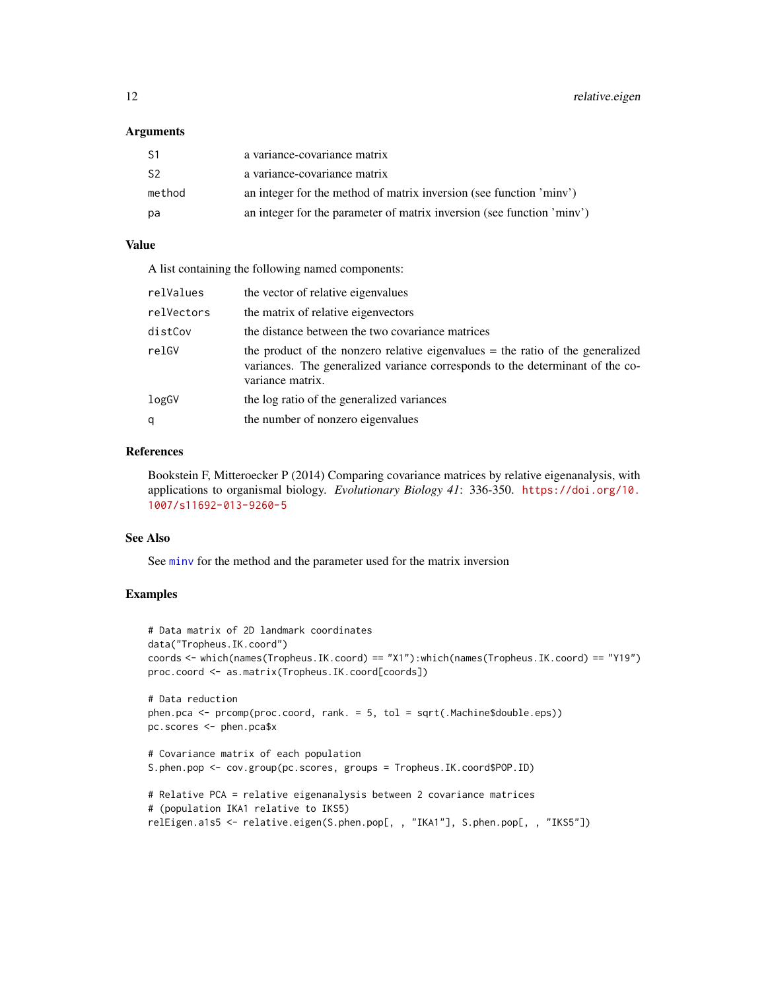#### <span id="page-11-0"></span>Arguments

| S1     | a variance-covariance matrix                                           |
|--------|------------------------------------------------------------------------|
| S2     | a variance-covariance matrix                                           |
| method | an integer for the method of matrix inversion (see function 'minv')    |
| рa     | an integer for the parameter of matrix inversion (see function 'minv') |

# Value

A list containing the following named components:

| relValues  | the vector of relative eigenvalues                                                                                                                                                    |
|------------|---------------------------------------------------------------------------------------------------------------------------------------------------------------------------------------|
| relVectors | the matrix of relative eigenvectors                                                                                                                                                   |
| distCov    | the distance between the two covariance matrices                                                                                                                                      |
| relGV      | the product of the nonzero relative eigenvalues $=$ the ratio of the generalized<br>variances. The generalized variance corresponds to the determinant of the co-<br>variance matrix. |
| logGV      | the log ratio of the generalized variances                                                                                                                                            |
| q          | the number of nonzero eigenvalues                                                                                                                                                     |

### References

Bookstein F, Mitteroecker P (2014) Comparing covariance matrices by relative eigenanalysis, with applications to organismal biology. *Evolutionary Biology 41*: 336-350. [https://doi.org/10.](https://doi.org/10.1007/s11692-013-9260-5) [1007/s11692-013-9260-5](https://doi.org/10.1007/s11692-013-9260-5)

### See Also

See [minv](#page-7-1) for the method and the parameter used for the matrix inversion

#### Examples

```
# Data matrix of 2D landmark coordinates
data("Tropheus.IK.coord")
coords <- which(names(Tropheus.IK.coord) == "X1"):which(names(Tropheus.IK.coord) == "Y19")
proc.coord <- as.matrix(Tropheus.IK.coord[coords])
# Data reduction
phen.pca <- prcomp(proc.coord, rank. = 5, tol = sqrt(.Machine$double.eps))
pc.scores <- phen.pca$x
# Covariance matrix of each population
S.phen.pop <- cov.group(pc.scores, groups = Tropheus.IK.coord$POP.ID)
# Relative PCA = relative eigenanalysis between 2 covariance matrices
# (population IKA1 relative to IKS5)
relEigen.a1s5 <- relative.eigen(S.phen.pop[, , "IKA1"], S.phen.pop[, , "IKS5"])
```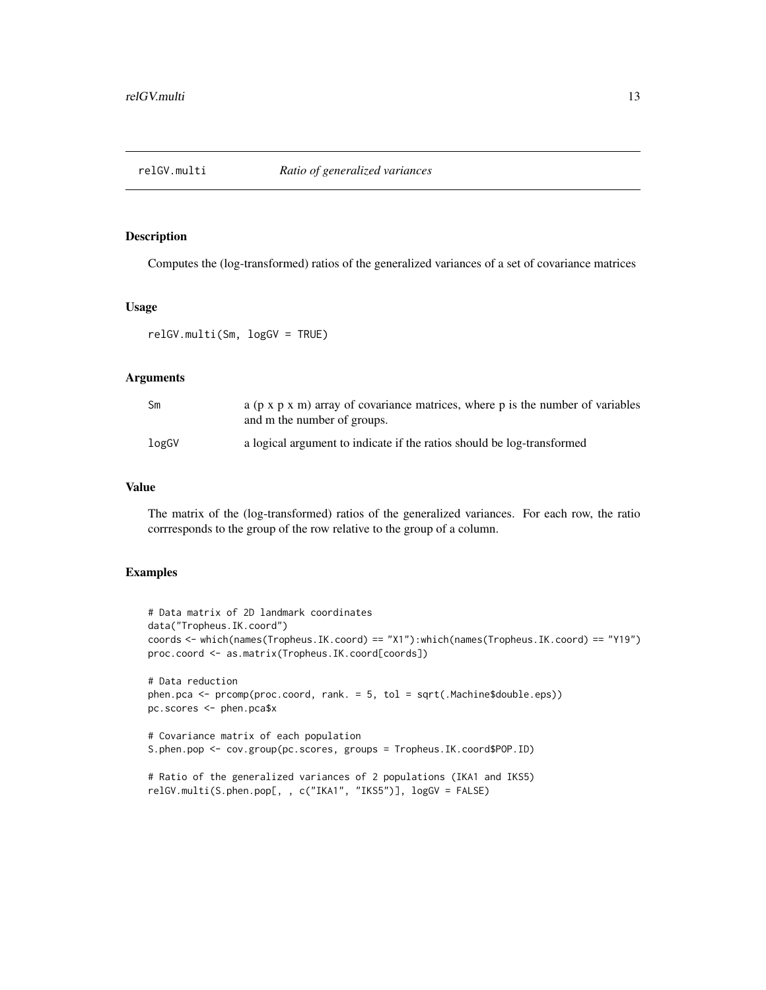<span id="page-12-0"></span>

#### Description

Computes the (log-transformed) ratios of the generalized variances of a set of covariance matrices

#### Usage

relGV.multi(Sm, logGV = TRUE)

# Arguments

| Sm    | a ( $p \times p \times m$ ) array of covariance matrices, where p is the number of variables<br>and m the number of groups. |
|-------|-----------------------------------------------------------------------------------------------------------------------------|
| logGV | a logical argument to indicate if the ratios should be log-transformed                                                      |

# Value

The matrix of the (log-transformed) ratios of the generalized variances. For each row, the ratio corrresponds to the group of the row relative to the group of a column.

# Examples

```
# Data matrix of 2D landmark coordinates
data("Tropheus.IK.coord")
coords <- which(names(Tropheus.IK.coord) == "X1"):which(names(Tropheus.IK.coord) == "Y19")
proc.coord <- as.matrix(Tropheus.IK.coord[coords])
# Data reduction
phen.pca <- prcomp(proc.coord, rank. = 5, tol = sqrt(.Machine$double.eps))
pc.scores <- phen.pca$x
# Covariance matrix of each population
S.phen.pop <- cov.group(pc.scores, groups = Tropheus.IK.coord$POP.ID)
# Ratio of the generalized variances of 2 populations (IKA1 and IKS5)
relGV.multi(S.phen.pop[, , c("IKA1", "IKS5")], logGV = FALSE)
```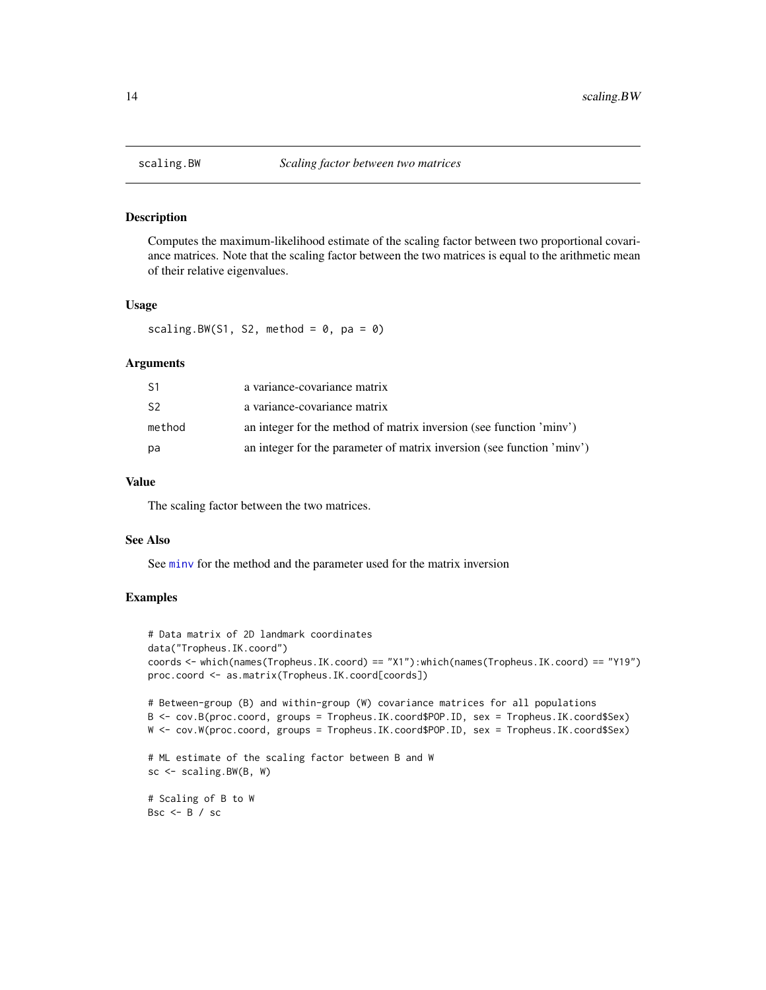<span id="page-13-0"></span>

#### Description

Computes the maximum-likelihood estimate of the scaling factor between two proportional covariance matrices. Note that the scaling factor between the two matrices is equal to the arithmetic mean of their relative eigenvalues.

#### Usage

```
scaling.BW(S1, S2, method = 0, pa = 0)
```
# Arguments

| S1             | a variance-covariance matrix                                           |
|----------------|------------------------------------------------------------------------|
| S <sub>2</sub> | a variance-covariance matrix                                           |
| method         | an integer for the method of matrix inversion (see function 'minv')    |
| pa             | an integer for the parameter of matrix inversion (see function 'minv') |

# Value

The scaling factor between the two matrices.

## See Also

See [minv](#page-7-1) for the method and the parameter used for the matrix inversion

# Examples

```
# Data matrix of 2D landmark coordinates
data("Tropheus.IK.coord")
coords <- which(names(Tropheus.IK.coord) == "X1"):which(names(Tropheus.IK.coord) == "Y19")
proc.coord <- as.matrix(Tropheus.IK.coord[coords])
# Between-group (B) and within-group (W) covariance matrices for all populations
B <- cov.B(proc.coord, groups = Tropheus.IK.coord$POP.ID, sex = Tropheus.IK.coord$Sex)
W <- cov.W(proc.coord, groups = Tropheus.IK.coord$POP.ID, sex = Tropheus.IK.coord$Sex)
# ML estimate of the scaling factor between B and W
sc < - scaling.BW(B, W)# Scaling of B to W
Bsc <- B / sc
```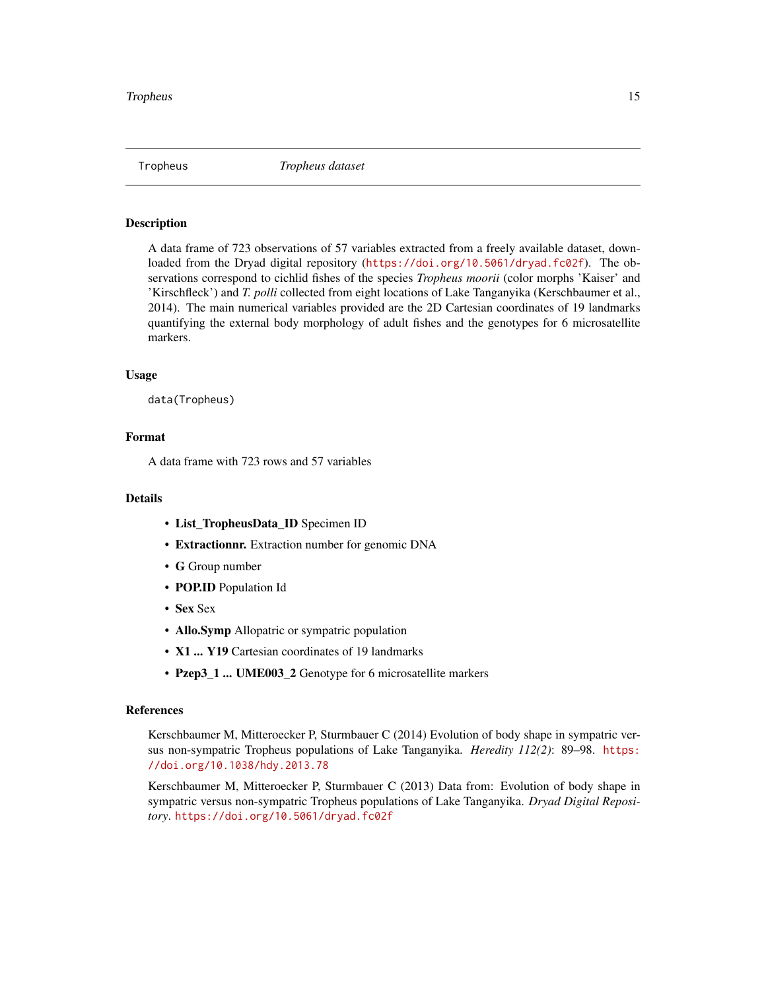<span id="page-14-1"></span><span id="page-14-0"></span>

### Description

A data frame of 723 observations of 57 variables extracted from a freely available dataset, downloaded from the Dryad digital repository (<https://doi.org/10.5061/dryad.fc02f>). The observations correspond to cichlid fishes of the species *Tropheus moorii* (color morphs 'Kaiser' and 'Kirschfleck') and *T. polli* collected from eight locations of Lake Tanganyika (Kerschbaumer et al., 2014). The main numerical variables provided are the 2D Cartesian coordinates of 19 landmarks quantifying the external body morphology of adult fishes and the genotypes for 6 microsatellite markers.

#### Usage

data(Tropheus)

# Format

A data frame with 723 rows and 57 variables

#### Details

- List\_TropheusData\_ID Specimen ID
- Extractionnr. Extraction number for genomic DNA
- G Group number
- POP.ID Population Id
- Sex Sex
- Allo.Symp Allopatric or sympatric population
- X1 ... Y19 Cartesian coordinates of 19 landmarks
- Pzep3\_1 ... UME003\_2 Genotype for 6 microsatellite markers

# References

Kerschbaumer M, Mitteroecker P, Sturmbauer C (2014) Evolution of body shape in sympatric versus non-sympatric Tropheus populations of Lake Tanganyika. *Heredity 112(2)*: 89–98. [https:](https://doi.org/10.1038/hdy.2013.78) [//doi.org/10.1038/hdy.2013.78](https://doi.org/10.1038/hdy.2013.78)

Kerschbaumer M, Mitteroecker P, Sturmbauer C (2013) Data from: Evolution of body shape in sympatric versus non-sympatric Tropheus populations of Lake Tanganyika. *Dryad Digital Repository*. <https://doi.org/10.5061/dryad.fc02f>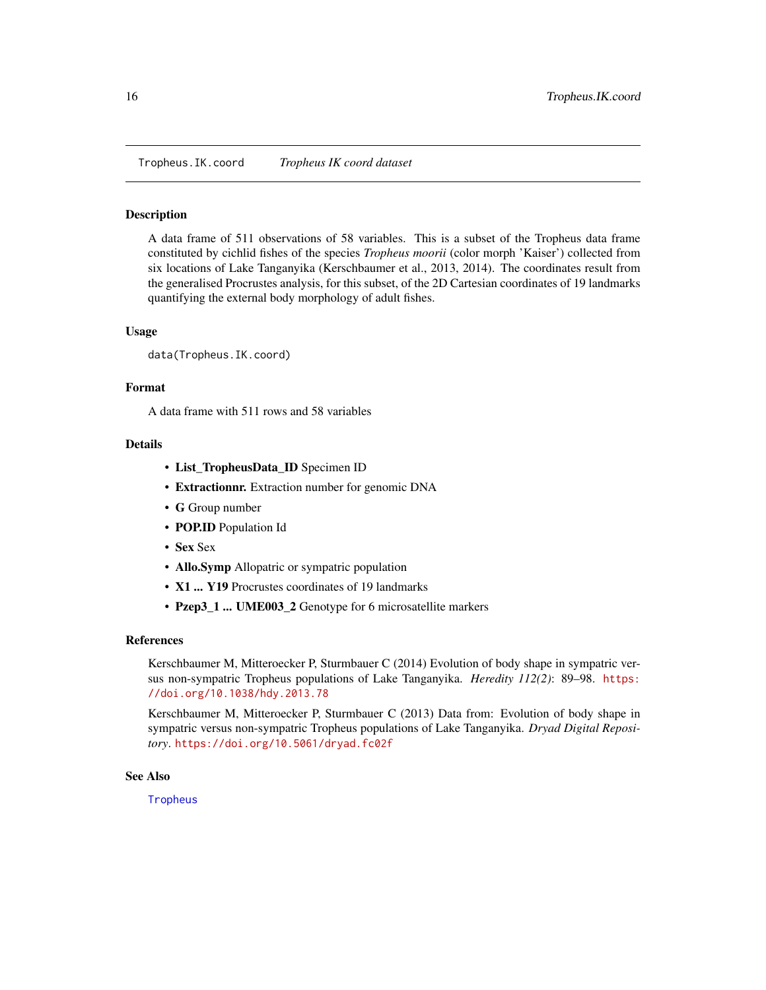<span id="page-15-0"></span>Tropheus.IK.coord *Tropheus IK coord dataset*

### Description

A data frame of 511 observations of 58 variables. This is a subset of the Tropheus data frame constituted by cichlid fishes of the species *Tropheus moorii* (color morph 'Kaiser') collected from six locations of Lake Tanganyika (Kerschbaumer et al., 2013, 2014). The coordinates result from the generalised Procrustes analysis, for this subset, of the 2D Cartesian coordinates of 19 landmarks quantifying the external body morphology of adult fishes.

#### Usage

data(Tropheus.IK.coord)

#### Format

A data frame with 511 rows and 58 variables

# Details

- List\_TropheusData\_ID Specimen ID
- Extractionnr. Extraction number for genomic DNA
- G Group number
- POP.ID Population Id
- Sex Sex
- Allo.Symp Allopatric or sympatric population
- X1 ... Y19 Procrustes coordinates of 19 landmarks
- Pzep3\_1 ... UME003\_2 Genotype for 6 microsatellite markers

#### References

Kerschbaumer M, Mitteroecker P, Sturmbauer C (2014) Evolution of body shape in sympatric versus non-sympatric Tropheus populations of Lake Tanganyika. *Heredity 112(2)*: 89–98. [https:](https://doi.org/10.1038/hdy.2013.78) [//doi.org/10.1038/hdy.2013.78](https://doi.org/10.1038/hdy.2013.78)

Kerschbaumer M, Mitteroecker P, Sturmbauer C (2013) Data from: Evolution of body shape in sympatric versus non-sympatric Tropheus populations of Lake Tanganyika. *Dryad Digital Repository*. <https://doi.org/10.5061/dryad.fc02f>

# See Also

**[Tropheus](#page-14-1)**